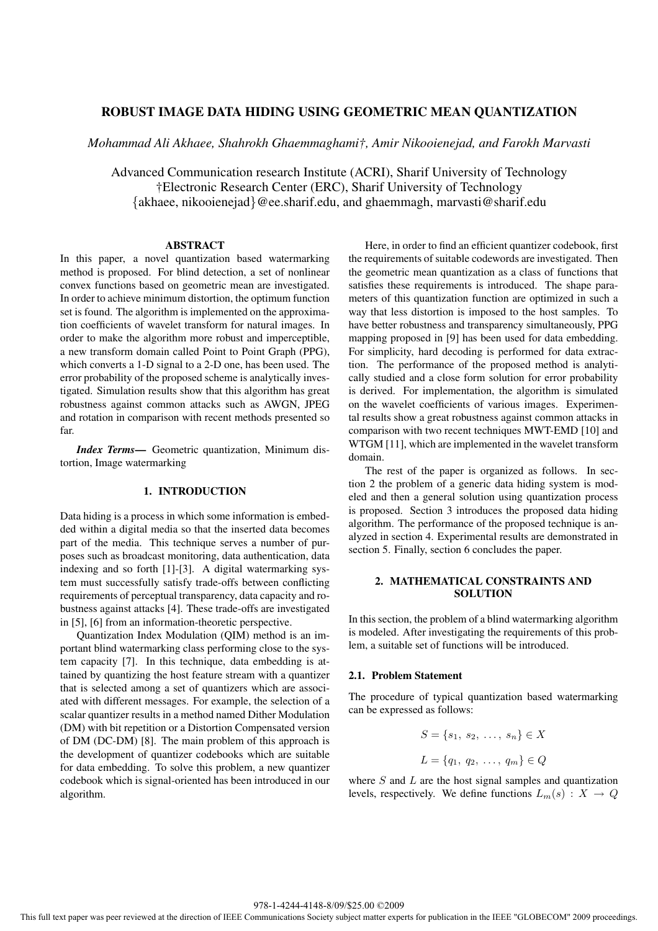# **ROBUST IMAGE DATA HIDING USING GEOMETRIC MEAN QUANTIZATION**

*Mohammad Ali Akhaee, Shahrokh Ghaemmaghami†, Amir Nikooienejad, and Farokh Marvasti*

Advanced Communication research Institute (ACRI), Sharif University of Technology †Electronic Research Center (ERC), Sharif University of Technology {akhaee, nikooienejad}@ee.sharif.edu, and ghaemmagh, marvasti@sharif.edu

#### **ABSTRACT**

In this paper, a novel quantization based watermarking method is proposed. For blind detection, a set of nonlinear convex functions based on geometric mean are investigated. In order to achieve minimum distortion, the optimum function set is found. The algorithm is implemented on the approximation coefficients of wavelet transform for natural images. In order to make the algorithm more robust and imperceptible, a new transform domain called Point to Point Graph (PPG), which converts a 1-D signal to a 2-D one, has been used. The error probability of the proposed scheme is analytically investigated. Simulation results show that this algorithm has great robustness against common attacks such as AWGN, JPEG and rotation in comparison with recent methods presented so far.

*Index Terms***—** Geometric quantization, Minimum distortion, Image watermarking

### **1. INTRODUCTION**

Data hiding is a process in which some information is embedded within a digital media so that the inserted data becomes part of the media. This technique serves a number of purposes such as broadcast monitoring, data authentication, data indexing and so forth [1]-[3]. A digital watermarking system must successfully satisfy trade-offs between conflicting requirements of perceptual transparency, data capacity and robustness against attacks [4]. These trade-offs are investigated in [5], [6] from an information-theoretic perspective.

Quantization Index Modulation (QIM) method is an important blind watermarking class performing close to the system capacity [7]. In this technique, data embedding is attained by quantizing the host feature stream with a quantizer that is selected among a set of quantizers which are associated with different messages. For example, the selection of a scalar quantizer results in a method named Dither Modulation (DM) with bit repetition or a Distortion Compensated version of DM (DC-DM) [8]. The main problem of this approach is the development of quantizer codebooks which are suitable for data embedding. To solve this problem, a new quantizer codebook which is signal-oriented has been introduced in our algorithm.

Here, in order to find an efficient quantizer codebook, first the requirements of suitable codewords are investigated. Then the geometric mean quantization as a class of functions that satisfies these requirements is introduced. The shape parameters of this quantization function are optimized in such a way that less distortion is imposed to the host samples. To have better robustness and transparency simultaneously, PPG mapping proposed in [9] has been used for data embedding. For simplicity, hard decoding is performed for data extraction. The performance of the proposed method is analytically studied and a close form solution for error probability is derived. For implementation, the algorithm is simulated on the wavelet coefficients of various images. Experimental results show a great robustness against common attacks in comparison with two recent techniques MWT-EMD [10] and WTGM [11], which are implemented in the wavelet transform domain.

The rest of the paper is organized as follows. In section 2 the problem of a generic data hiding system is modeled and then a general solution using quantization process is proposed. Section 3 introduces the proposed data hiding algorithm. The performance of the proposed technique is analyzed in section 4. Experimental results are demonstrated in section 5. Finally, section 6 concludes the paper.

# **2. MATHEMATICAL CONSTRAINTS AND SOLUTION**

In this section, the problem of a blind watermarking algorithm is modeled. After investigating the requirements of this problem, a suitable set of functions will be introduced.

### **2.1. Problem Statement**

The procedure of typical quantization based watermarking can be expressed as follows:

$$
S = \{s_1, s_2, \dots, s_n\} \in X
$$
  

$$
L = \{q_1, q_2, \dots, q_m\} \in Q
$$

where  $S$  and  $L$  are the host signal samples and quantization levels, respectively. We define functions  $L_m(s) : X \to Q$ 

978-1-4244-4148-8/09/\$25.00 ©2009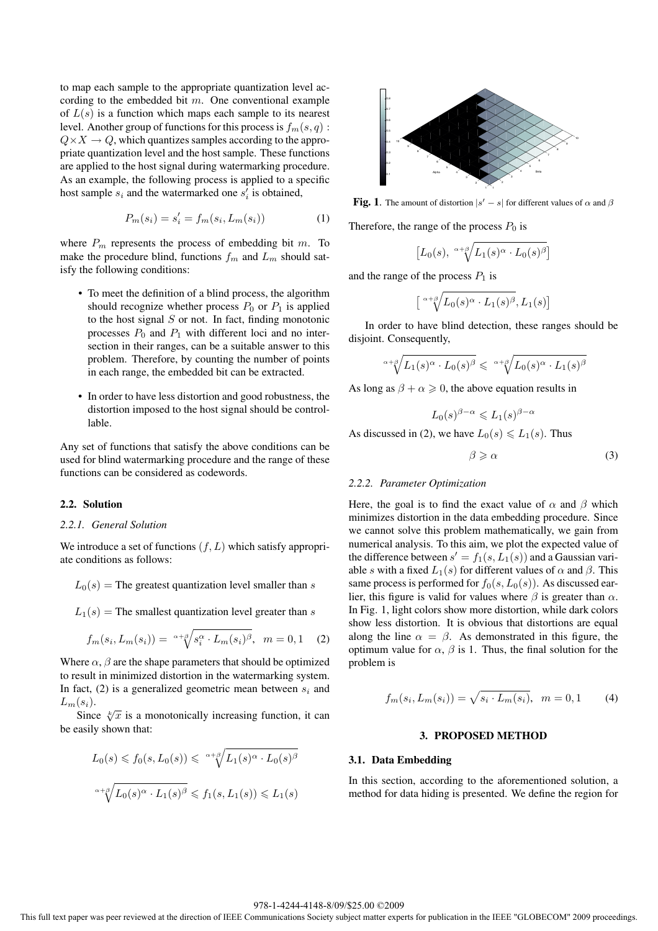to map each sample to the appropriate quantization level according to the embedded bit  $m$ . One conventional example of  $L(s)$  is a function which maps each sample to its nearest level. Another group of functions for this process is  $f_m(s, q)$ :  $Q \times X \to Q$ , which quantizes samples according to the appropriate quantization level and the host sample. These functions are applied to the host signal during watermarking procedure. As an example, the following process is applied to a specific host sample  $s_i$  and the watermarked one  $s'_i$  is obtained,

$$
P_m(s_i) = s_i' = f_m(s_i, L_m(s_i))
$$
 (1)

where  $P_m$  represents the process of embedding bit m. To make the procedure blind, functions  $f_m$  and  $L_m$  should satisfy the following conditions:

- To meet the definition of a blind process, the algorithm should recognize whether process  $P_0$  or  $P_1$  is applied to the host signal  $S$  or not. In fact, finding monotonic processes  $P_0$  and  $P_1$  with different loci and no intersection in their ranges, can be a suitable answer to this problem. Therefore, by counting the number of points in each range, the embedded bit can be extracted.
- In order to have less distortion and good robustness, the distortion imposed to the host signal should be controllable.

Any set of functions that satisfy the above conditions can be used for blind watermarking procedure and the range of these functions can be considered as codewords.

### **2.2. Solution**

# *2.2.1. General Solution*

We introduce a set of functions  $(f, L)$  which satisfy appropriate conditions as follows:

 $L_0(s)$  = The greatest quantization level smaller than s

$$
L_1(s) =
$$
The smallest quantization level greater than s

$$
f_m(s_i, L_m(s_i)) = \sqrt[\alpha+\beta]{s_i^{\alpha} \cdot L_m(s_i)^{\beta}}, \quad m = 0, 1 \quad (2)
$$

Where  $\alpha$ ,  $\beta$  are the shape parameters that should be optimized to result in minimized distortion in the watermarking system. In fact, (2) is a generalized geometric mean between  $s_i$  and  $L_m(s_i)$ .

Since  $\sqrt[k]{x}$  is a monotonically increasing function, it can be easily shown that:

$$
L_0(s) \leq f_0(s, L_0(s)) \leq \alpha + \sqrt{\beta} L_1(s) \alpha \cdot L_0(s)^{\beta}
$$

$$
\alpha + \sqrt{\beta} L_0(s) \alpha \cdot L_1(s)^{\beta} \leq f_1(s, L_1(s)) \leq L_1(s)
$$



**Fig. 1**. The amount of distortion  $|s'-s|$  for different values of  $\alpha$  and  $\beta$ 

Therefore, the range of the process  $P_0$  is

$$
\left[L_0(s), \sqrt[\alpha+\beta]{L_1(s)^{\alpha} \cdot L_0(s)^{\beta}}\right]
$$

and the range of the process  $P_1$  is

$$
\left[ \sqrt[\alpha+\beta]{L_0(s)^{\alpha} \cdot L_1(s)^{\beta}}, L_1(s) \right]
$$

In order to have blind detection, these ranges should be disjoint. Consequently,

$$
\sqrt{\mu_1(s)^{\alpha} \cdot L_0(s)^{\beta}} \leq \sqrt{\mu_1(s)^{\alpha} \cdot L_1(s)^{\beta}}
$$

As long as  $\beta + \alpha \geq 0$ , the above equation results in

$$
L_0(s)^{\beta-\alpha} \leqslant L_1(s)^{\beta-\alpha}
$$

As discussed in (2), we have  $L_0(s) \le L_1(s)$ . Thus

 $\beta \geqslant \alpha$  (3)

#### *2.2.2. Parameter Optimization*

Here, the goal is to find the exact value of  $\alpha$  and  $\beta$  which minimizes distortion in the data embedding procedure. Since we cannot solve this problem mathematically, we gain from numerical analysis. To this aim, we plot the expected value of the difference between  $s' = f_1(s, L_1(s))$  and a Gaussian variable s with a fixed  $L_1(s)$  for different values of  $\alpha$  and  $\beta$ . This same process is performed for  $f_0(s, L_0(s))$ . As discussed earlier, this figure is valid for values where  $\beta$  is greater than  $\alpha$ . In Fig. 1, light colors show more distortion, while dark colors show less distortion. It is obvious that distortions are equal along the line  $\alpha = \beta$ . As demonstrated in this figure, the optimum value for  $\alpha$ ,  $\beta$  is 1. Thus, the final solution for the problem is

$$
f_m(s_i, L_m(s_i)) = \sqrt{s_i \cdot L_m(s_i)}, \ \ m = 0, 1 \tag{4}
$$

# **3. PROPOSED METHOD**

#### **3.1. Data Embedding**

In this section, according to the aforementioned solution, a method for data hiding is presented. We define the region for

#### 978-1-4244-4148-8/09/\$25.00 ©2009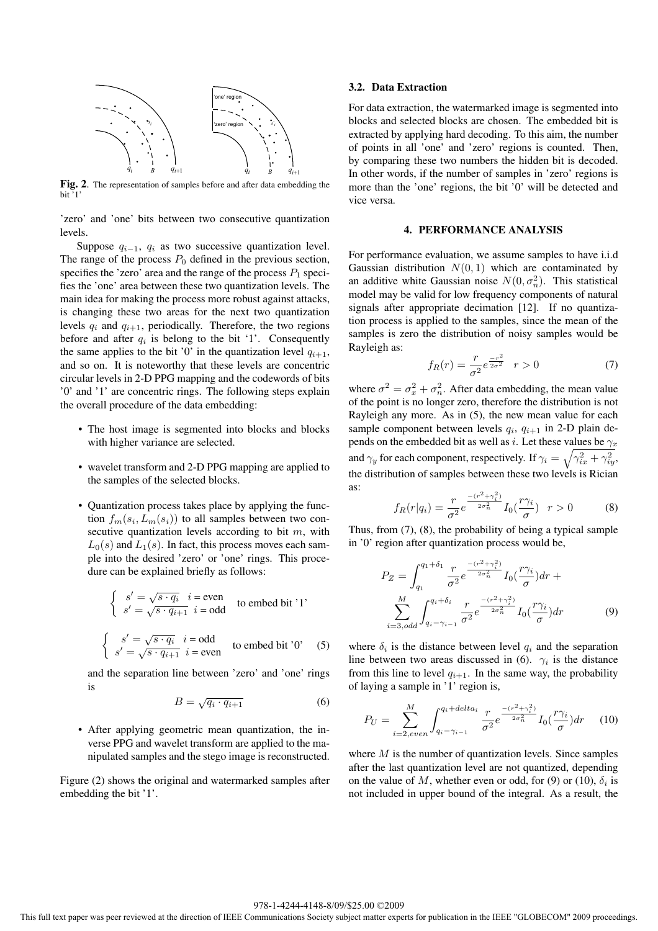

**Fig. 2**. The representation of samples before and after data embedding the  $bit<sup>7</sup>1$ 

'zero' and 'one' bits between two consecutive quantization levels.

Suppose  $q_{i-1}$ ,  $q_i$  as two successive quantization level. The range of the process  $P_0$  defined in the previous section, specifies the 'zero' area and the range of the process  $P_1$  specifies the 'one' area between these two quantization levels. The main idea for making the process more robust against attacks, is changing these two areas for the next two quantization levels  $q_i$  and  $q_{i+1}$ , periodically. Therefore, the two regions before and after  $q_i$  is belong to the bit '1'. Consequently the same applies to the bit '0' in the quantization level  $q_{i+1}$ , and so on. It is noteworthy that these levels are concentric circular levels in 2-D PPG mapping and the codewords of bits '0' and '1' are concentric rings. The following steps explain the overall procedure of the data embedding:

- The host image is segmented into blocks and blocks with higher variance are selected.
- wavelet transform and 2-D PPG mapping are applied to the samples of the selected blocks.
- Quantization process takes place by applying the function  $f_m(s_i, L_m(s_i))$  to all samples between two consecutive quantization levels according to bit  $m$ , with  $L_0(s)$  and  $L_1(s)$ . In fact, this process moves each sample into the desired 'zero' or 'one' rings. This procedure can be explained briefly as follows:

$$
\begin{cases}\ns' = \sqrt{s \cdot q_i} \quad i = \text{even} \\
s' = \sqrt{s \cdot q_{i+1}} \quad i = \text{odd}\n\end{cases}
$$
to embed bit '1'

$$
\begin{cases}\n s' = \sqrt{s \cdot q_i} \quad i = \text{odd} \\
 s' = \sqrt{s \cdot q_{i+1}} \quad i = \text{even}\n\end{cases}
$$
\nto embed bit '0' (5)

and the separation line between 'zero' and 'one' rings is

$$
B = \sqrt{q_i \cdot q_{i+1}} \tag{6}
$$

• After applying geometric mean quantization, the inverse PPG and wavelet transform are applied to the manipulated samples and the stego image is reconstructed.

Figure (2) shows the original and watermarked samples after embedding the bit '1'.

#### **3.2. Data Extraction**

For data extraction, the watermarked image is segmented into blocks and selected blocks are chosen. The embedded bit is extracted by applying hard decoding. To this aim, the number of points in all 'one' and 'zero' regions is counted. Then, by comparing these two numbers the hidden bit is decoded. In other words, if the number of samples in 'zero' regions is more than the 'one' regions, the bit '0' will be detected and vice versa.

#### **4. PERFORMANCE ANALYSIS**

For performance evaluation, we assume samples to have i.i.d Gaussian distribution  $N(0, 1)$  which are contaminated by an additive white Gaussian noise  $N(0, \sigma_n^2)$ . This statistical model may be valid for low frequency components of natural signals after appropriate decimation [12]. If no quantization process is applied to the samples, since the mean of the samples is zero the distribution of noisy samples would be Rayleigh as:

$$
f_R(r) = \frac{r}{\sigma^2} e^{\frac{-r^2}{2\sigma^2}} \quad r > 0 \tag{7}
$$

where  $\sigma^2 = \sigma_x^2 + \sigma_n^2$ . After data embedding, the mean value of the point is no longer zero, therefore the distribution is not Rayleigh any more. As in (5), the new mean value for each sample component between levels  $q_i$ ,  $q_{i+1}$  in 2-D plain depends on the embedded bit as well as i. Let these values be  $\gamma_x$ and  $\gamma_y$  for each component, respectively. If  $\gamma_i = \sqrt{\gamma_{ix}^2 + \gamma_{iy}^2}$ , the distribution of samples between these two levels is Rician as:

$$
f_R(r|q_i) = \frac{r}{\sigma^2} e^{\frac{-(r^2 + \gamma_i^2)}{2\sigma_n^2}} I_0(\frac{r\gamma_i}{\sigma}) \quad r > 0 \tag{8}
$$

Thus, from  $(7)$ ,  $(8)$ , the probability of being a typical sample in '0' region after quantization process would be,

$$
P_Z = \int_{q_1}^{q_1 + \delta_1} \frac{r}{\sigma^2} e^{-\frac{(r^2 + \gamma_i^2)}{2\sigma_n^2}} I_0(\frac{r\gamma_i}{\sigma}) dr + \sum_{i=3, odd}^{M} \int_{q_i - \gamma_{i-1}}^{q_i + \delta_i} \frac{r}{\sigma^2} e^{-\frac{(r^2 + \gamma_i^2)}{2\sigma_n^2}} I_0(\frac{r\gamma_i}{\sigma}) dr \tag{9}
$$

where  $\delta_i$  is the distance between level  $q_i$  and the separation line between two areas discussed in (6).  $\gamma_i$  is the distance from this line to level  $q_{i+1}$ . In the same way, the probability of laying a sample in '1' region is,

$$
P_U = \sum_{i=2,even}^{M} \int_{q_i - \gamma_{i-1}}^{q_i + delta_i} \frac{r}{\sigma^2} e^{\frac{-(r^2 + \gamma_i^2)}{2\sigma_n^2}} I_0(\frac{r\gamma_i}{\sigma}) dr \tag{10}
$$

where  $M$  is the number of quantization levels. Since samples after the last quantization level are not quantized, depending on the value of M, whether even or odd, for (9) or (10),  $\delta_i$  is not included in upper bound of the integral. As a result, the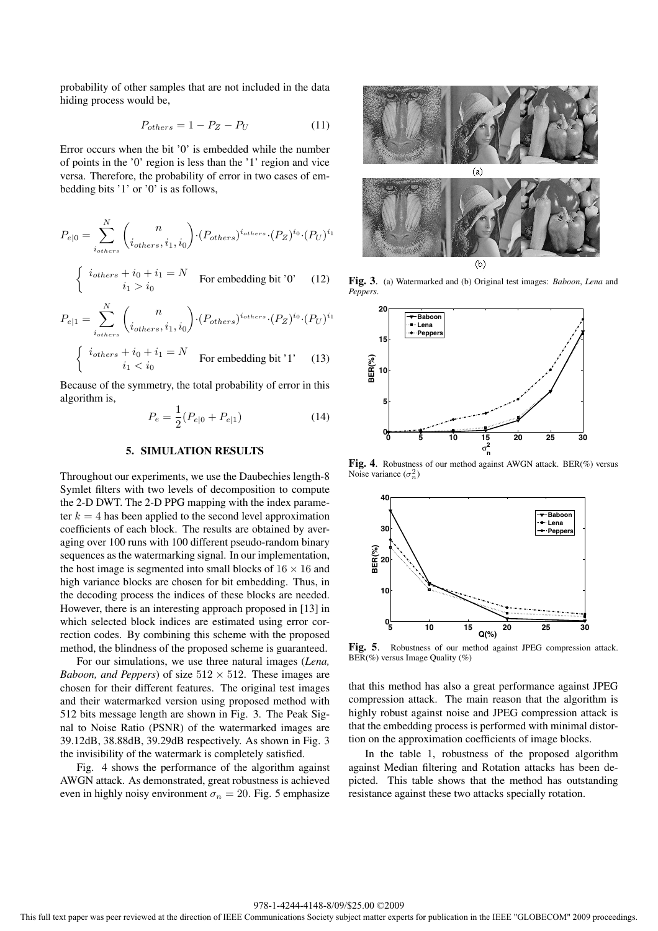probability of other samples that are not included in the data hiding process would be,

$$
P_{others} = 1 - P_Z - P_U \tag{11}
$$

Error occurs when the bit '0' is embedded while the number of points in the '0' region is less than the '1' region and vice versa. Therefore, the probability of error in two cases of embedding bits '1' or '0' is as follows,

$$
P_{e|0} = \sum_{i_{others}}^{N} {n \choose i_{others}, i_1, i_0} \cdot (P_{others})^{i_{others}} \cdot (P_Z)^{i_0} \cdot (P_U)^{i_1}
$$

$$
\begin{cases} i_{others} + i_0 + i_1 = N \\ i_1 > i_0 \end{cases}
$$
 For embedding bit '0' (12)

$$
P_{e|1} = \sum_{i_{others}}^{N} {n \choose i_{others}, i_1, i_0} \cdot (P_{others})^{i_{others}} \cdot (P_Z)^{i_0} \cdot (P_U)^{i_1}
$$
  

$$
\begin{cases} i_{others} + i_0 + i_1 = N \\ i_1 < i_0 \end{cases}
$$
 For embedding bit '1' (13)

Because of the symmetry, the total probability of error in this algorithm is,

$$
P_e = \frac{1}{2}(P_{e|0} + P_{e|1})
$$
\n(14)

#### **5. SIMULATION RESULTS**

Throughout our experiments, we use the Daubechies length-8 Symlet filters with two levels of decomposition to compute the 2-D DWT. The 2-D PPG mapping with the index parameter  $k = 4$  has been applied to the second level approximation coefficients of each block. The results are obtained by averaging over 100 runs with 100 different pseudo-random binary sequences as the watermarking signal. In our implementation, the host image is segmented into small blocks of  $16 \times 16$  and high variance blocks are chosen for bit embedding. Thus, in the decoding process the indices of these blocks are needed. However, there is an interesting approach proposed in [13] in which selected block indices are estimated using error correction codes. By combining this scheme with the proposed method, the blindness of the proposed scheme is guaranteed.

For our simulations, we use three natural images (*Lena, Baboon, and Peppers*) of size  $512 \times 512$ . These images are chosen for their different features. The original test images and their watermarked version using proposed method with 512 bits message length are shown in Fig. 3. The Peak Signal to Noise Ratio (PSNR) of the watermarked images are 39.12dB, 38.88dB, 39.29dB respectively. As shown in Fig. 3 the invisibility of the watermark is completely satisfied.

Fig. 4 shows the performance of the algorithm against AWGN attack. As demonstrated, great robustness is achieved even in highly noisy environment  $\sigma_n = 20$ . Fig. 5 emphasize



**Fig. 3**. (a) Watermarked and (b) Original test images: *Baboon*, *Lena* and *Peppers*.



**Fig. 4**. Robustness of our method against AWGN attack. BER(%) versus Noise variance  $(\sigma_n^2)$ 



**Fig. 5**. Robustness of our method against JPEG compression attack.  $BER(\%)$  versus Image Quality  $(\%)$ 

that this method has also a great performance against JPEG compression attack. The main reason that the algorithm is highly robust against noise and JPEG compression attack is that the embedding process is performed with minimal distortion on the approximation coefficients of image blocks.

In the table 1, robustness of the proposed algorithm against Median filtering and Rotation attacks has been depicted. This table shows that the method has outstanding resistance against these two attacks specially rotation.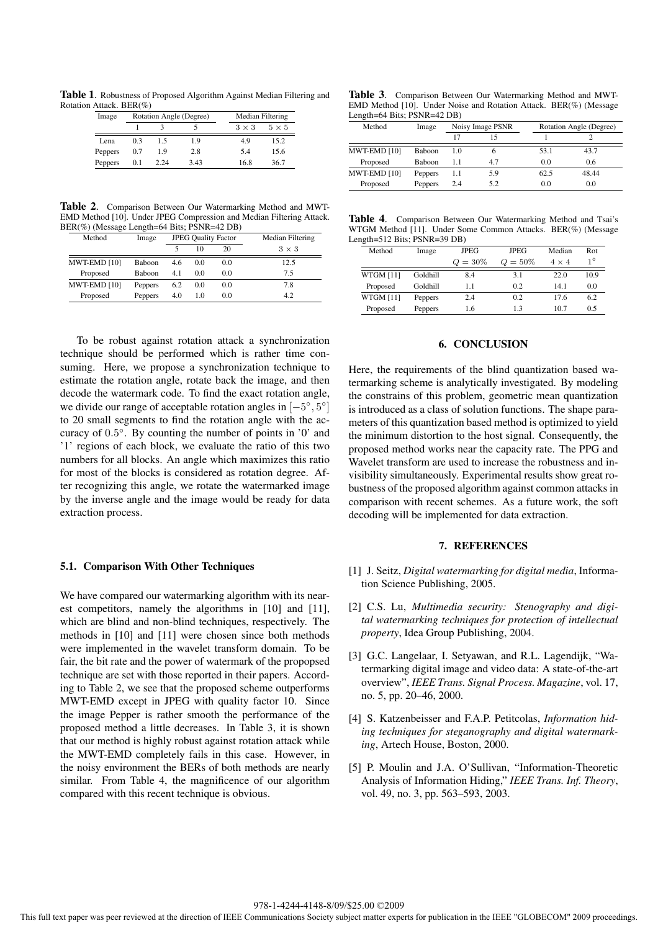**Table 1**. Robustness of Proposed Algorithm Against Median Filtering and Rotation Attack. BER(%)

| Image   | Rotation Angle (Degree) |      |      | Median Filtering |              |  |
|---------|-------------------------|------|------|------------------|--------------|--|
|         |                         |      |      | $3 \times 3$     | $5 \times 5$ |  |
| Lena    | 03                      | 15   | 1.9  | 4.9              | 15.2         |  |
| Peppers | 0.7                     | 19   | 2.8  | 5.4              | 15.6         |  |
| Peppers | 0.1                     | 2.24 | 3.43 | 16.8             | 36.7         |  |

**Table 2**. Comparison Between Our Watermarking Method and MWT-EMD Method [10]. Under JPEG Compression and Median Filtering Attack. BER(%) (Message Length=64 Bits; PSNR=42 DB)

| Method       | Image         | <b>JPEG Quality Factor</b> |     |     | Median Filtering |  |
|--------------|---------------|----------------------------|-----|-----|------------------|--|
|              |               |                            | 10  | 20  | $3 \times 3$     |  |
| MWT-EMD [10] | <b>Baboon</b> | 4.6                        | 0.0 | 0.0 | 12.5             |  |
| Proposed     | <b>Baboon</b> | 4.1                        | 0.0 | 0.0 | 75               |  |
| MWT-EMD [10] | Peppers       | 6.2                        | 0.0 | 0.0 | 7.8              |  |
| Proposed     | Peppers       | 4.0                        | 1.0 | 0.0 | 4.2              |  |

To be robust against rotation attack a synchronization technique should be performed which is rather time consuming. Here, we propose a synchronization technique to estimate the rotation angle, rotate back the image, and then decode the watermark code. To find the exact rotation angle, we divide our range of acceptable rotation angles in [−5◦, 5◦] to 20 small segments to find the rotation angle with the accuracy of 0.5◦. By counting the number of points in '0' and '1' regions of each block, we evaluate the ratio of this two numbers for all blocks. An angle which maximizes this ratio for most of the blocks is considered as rotation degree. After recognizing this angle, we rotate the watermarked image by the inverse angle and the image would be ready for data extraction process.

### **5.1. Comparison With Other Techniques**

We have compared our watermarking algorithm with its nearest competitors, namely the algorithms in [10] and [11], which are blind and non-blind techniques, respectively. The methods in [10] and [11] were chosen since both methods were implemented in the wavelet transform domain. To be fair, the bit rate and the power of watermark of the propopsed technique are set with those reported in their papers. According to Table 2, we see that the proposed scheme outperforms MWT-EMD except in JPEG with quality factor 10. Since the image Pepper is rather smooth the performance of the proposed method a little decreases. In Table 3, it is shown that our method is highly robust against rotation attack while the MWT-EMD completely fails in this case. However, in the noisy environment the BERs of both methods are nearly similar. From Table 4, the magnificence of our algorithm compared with this recent technique is obvious.

**Table 3**. Comparison Between Our Watermarking Method and MWT-EMD Method [10]. Under Noise and Rotation Attack. BER(%) (Message Length=64 Bits; PSNR=42 DB)

| Method       | Image         | Noisy Image PSNR |     |      | Rotation Angle (Degree) |  |
|--------------|---------------|------------------|-----|------|-------------------------|--|
|              |               |                  |     |      |                         |  |
| MWT-EMD [10] | Baboon        | 1.0              | o   | 53.1 | 43.7                    |  |
| Proposed     | <b>Baboon</b> | 1.1              | 4.7 | 0.0  | 0.6                     |  |
| MWT-EMD [10] | Peppers       | 1.1              | 5.9 | 62.5 | 48.44                   |  |
| Proposed     | Peppers       | 2.4              | 5.2 | 0.0  | 0.0                     |  |

**Table 4**. Comparison Between Our Watermarking Method and Tsai's WTGM Method [11]. Under Some Common Attacks. BER(%) (Message Length=512 Bits; PSNR=39 DB)

| U         |          |            |             |              |             |
|-----------|----------|------------|-------------|--------------|-------------|
| Method    | Image    |            | <b>JPEG</b> | Median       | Rot         |
|           |          | $Q = 30\%$ | $Q = 50\%$  | $4 \times 4$ | $1^{\circ}$ |
| WTGM [11] | Goldhill | 8.4        | 3.1         | 22.0         | 10.9        |
| Proposed  | Goldhill | 1.1        | 0.2         | 14.1         | 0.0         |
| WTGM [11] | Peppers  | 2.4        | 0.2         | 17.6         | 6.2         |
| Proposed  | Peppers  | 1.6        | 13          | 10.7         | 0.5         |
|           |          |            |             |              |             |

### **6. CONCLUSION**

Here, the requirements of the blind quantization based watermarking scheme is analytically investigated. By modeling the constrains of this problem, geometric mean quantization is introduced as a class of solution functions. The shape parameters of this quantization based method is optimized to yield the minimum distortion to the host signal. Consequently, the proposed method works near the capacity rate. The PPG and Wavelet transform are used to increase the robustness and invisibility simultaneously. Experimental results show great robustness of the proposed algorithm against common attacks in comparison with recent schemes. As a future work, the soft decoding will be implemented for data extraction.

### **7. REFERENCES**

- [1] J. Seitz, *Digital watermarking for digital media*, Information Science Publishing, 2005.
- [2] C.S. Lu, *Multimedia security: Stenography and digital watermarking techniques for protection of intellectual property*, Idea Group Publishing, 2004.
- [3] G.C. Langelaar, I. Setyawan, and R.L. Lagendijk, "Watermarking digital image and video data: A state-of-the-art overview", *IEEE Trans. Signal Process. Magazine*, vol. 17, no. 5, pp. 20–46, 2000.
- [4] S. Katzenbeisser and F.A.P. Petitcolas, *Information hiding techniques for steganography and digital watermarking*, Artech House, Boston, 2000.
- [5] P. Moulin and J.A. O'Sullivan, "Information-Theoretic Analysis of Information Hiding," *IEEE Trans. Inf. Theory*, vol. 49, no. 3, pp. 563–593, 2003.

978-1-4244-4148-8/09/\$25.00 ©2009